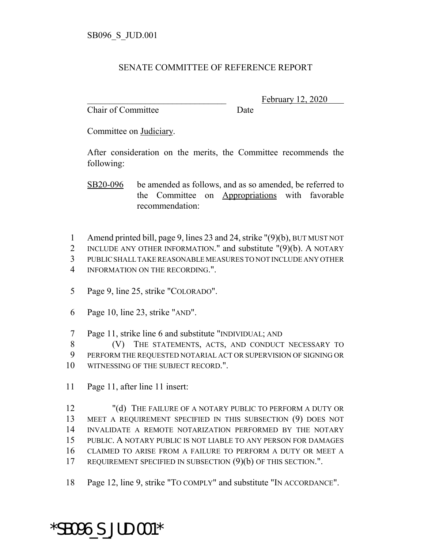## SENATE COMMITTEE OF REFERENCE REPORT

Chair of Committee Date

February 12, 2020

Committee on Judiciary.

After consideration on the merits, the Committee recommends the following:

SB20-096 be amended as follows, and as so amended, be referred to the Committee on Appropriations with favorable recommendation:

- 1 Amend printed bill, page 9, lines 23 and 24, strike "(9)(b), BUT MUST NOT
- 2 INCLUDE ANY OTHER INFORMATION." and substitute "(9)(b). A NOTARY
- 3 PUBLIC SHALL TAKE REASONABLE MEASURES TO NOT INCLUDE ANY OTHER
- 4 INFORMATION ON THE RECORDING.".
- 5 Page 9, line 25, strike "COLORADO".
- 6 Page 10, line 23, strike "AND".
- 7 Page 11, strike line 6 and substitute "INDIVIDUAL; AND

8 (V) THE STATEMENTS, ACTS, AND CONDUCT NECESSARY TO 9 PERFORM THE REQUESTED NOTARIAL ACT OR SUPERVISION OF SIGNING OR 10 WITNESSING OF THE SUBJECT RECORD.".

11 Page 11, after line 11 insert:

12 "(d) THE FAILURE OF A NOTARY PUBLIC TO PERFORM A DUTY OR MEET A REQUIREMENT SPECIFIED IN THIS SUBSECTION (9) DOES NOT INVALIDATE A REMOTE NOTARIZATION PERFORMED BY THE NOTARY PUBLIC. A NOTARY PUBLIC IS NOT LIABLE TO ANY PERSON FOR DAMAGES CLAIMED TO ARISE FROM A FAILURE TO PERFORM A DUTY OR MEET A 17 REQUIREMENT SPECIFIED IN SUBSECTION (9)(b) OF THIS SECTION.".

18 Page 12, line 9, strike "TO COMPLY" and substitute "IN ACCORDANCE".

## \*SB096\_S\_JUD.001\*